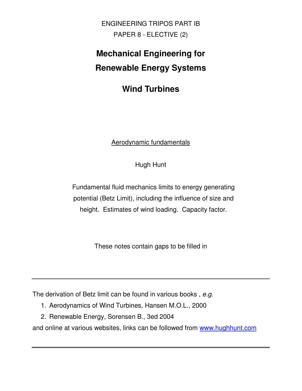ENGINEERING TRIPOS PART IB PAPER 8 - ELECTIVE (2)

# **Mechanical Engineering for Renewable Energy Systems**

**Wind Turbines**

## Aerodynamic fundamentals

Hugh Hunt

Fundamental fluid mechanics limits to energy generating potential (Betz Limit), including the influence of size and height. Estimates of wind loading. Capacity factor.

These notes contain gaps to be filled in

The derivation of Betz limit can be found in various books, e.g.

- 1. Aerodynamics of Wind Turbines, Hansen M.O.L., 2000
- 2. Renewable Energy, Sorensen B., 3ed 2004

and online at various websites, links can be followed from www.hughhunt.com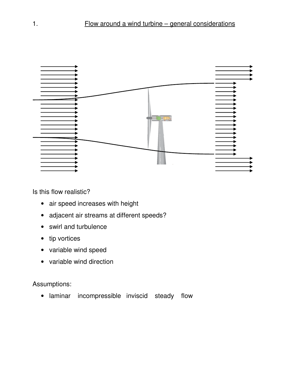

Is this flow realistic?

- air speed increases with height
- adjacent air streams at different speeds?
- swirl and turbulence
- tip vortices
- variable wind speed
- variable wind direction

# Assumptions:

• laminar incompressible inviscid steady flow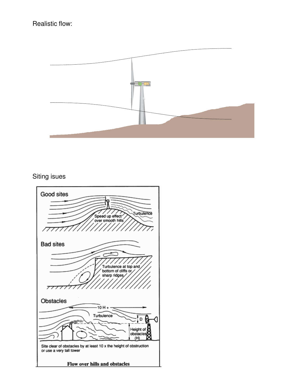## Realistic flow:



#### Siting isues

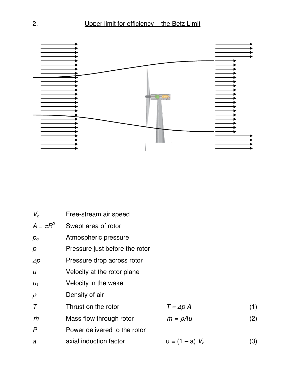

| $V_{\alpha}$     | Free-stream air speed          |                      |     |  |
|------------------|--------------------------------|----------------------|-----|--|
| $A = \pi R^2$    | Swept area of rotor            |                      |     |  |
| $p_{o}$          | Atmospheric pressure           |                      |     |  |
| p                | Pressure just before the rotor |                      |     |  |
| $\Delta p$       | Pressure drop across rotor     |                      |     |  |
| $\boldsymbol{U}$ | Velocity at the rotor plane    |                      |     |  |
| $U_1$            | Velocity in the wake           |                      |     |  |
| $\rho$           | Density of air                 |                      |     |  |
| $\tau$           | Thrust on the rotor            | $T = \Delta p A$     | (1) |  |
| m                | Mass flow through rotor        | $\dot{m} = \rho A u$ | (2) |  |
| $\mathsf{P}$     | Power delivered to the rotor   |                      |     |  |
| a                | axial induction factor         | $u = (1 - a) V_{o}$  | (3) |  |
|                  |                                |                      |     |  |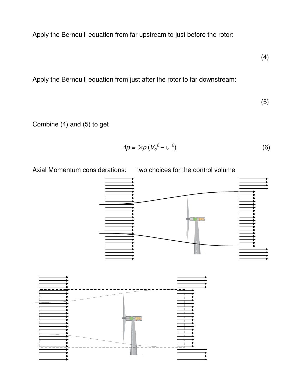Apply the Bernoulli equation from far upstream to just before the rotor:

(4)

Apply the Bernoulli equation from just after the rotor to far downstream:

(5)

Combine (4) and (5) to get

$$
\Delta p = \frac{1}{2} \rho \left( V_o^2 - u_1^2 \right) \tag{6}
$$



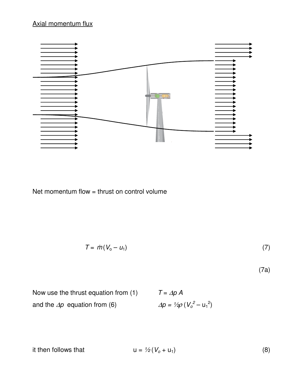## Axial momentum flux



Net momentum flow = thrust on control volume

$$
T = \dot{m}(V_0 - u_1) \tag{7}
$$

(7a)

Now use the thrust equation from (1)  $T = \Delta p A$ and the  $\Delta p$  equation from (6)  $\Delta p = \frac{1}{2}\rho (V_o^2 - u_1^2)$ 

it then follows that  $u = \frac{1}{2}(V_o + u_1)$  (8)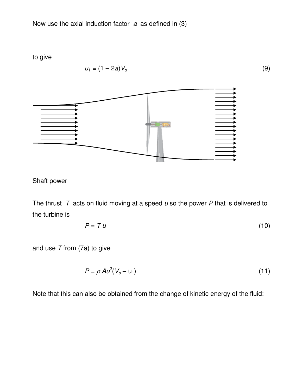Now use the axial induction factor  $a$  as defined in (3)

to give

$$
u_1 = (1 - 2a)V_o \tag{9}
$$



# Shaft power

The thrust  $T$  acts on fluid moving at a speed  $u$  so the power  $P$  that is delivered to the turbine is

$$
P = T u \tag{10}
$$

and use  $T$  from (7a) to give

$$
P = \rho A u^2 (V_o - u_1) \tag{11}
$$

Note that this can also be obtained from the change of kinetic energy of the fluid: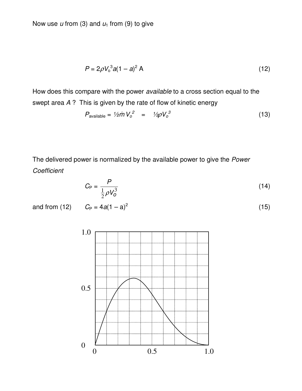Now use  $u$  from (3) and  $u_1$  from (9) to give

$$
P = 2\rho V_0^3 a (1 - a)^2 A
$$
 (12)

How does this compare with the power available to a cross section equal to the swept area A ? This is given by the rate of flow of kinetic energy

$$
P_{\text{available}} = \frac{1}{2} \dot{m} V_o^2 = \frac{1}{2} \rho V_o^3 \tag{13}
$$

The delivered power is normalized by the available power to give the Power **Coefficient** 

$$
C_{\rm P} = \frac{P}{\frac{1}{2}\rho V_0^3}
$$
 (14)

and from (12)  $C_P = 4$ 

$$
4a(1-a)^2 \tag{15}
$$

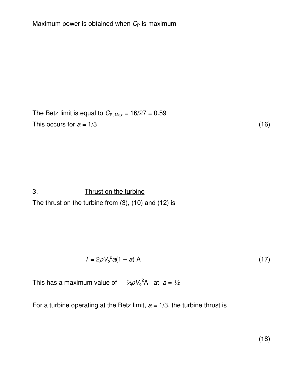The Betz limit is equal to  $C_{P, Max} = 16/27 = 0.59$ This occurs for  $a = 1/3$  (16)

3. Thrust on the turbine The thrust on the turbine from (3), (10) and (12) is

$$
T = 2\rho V_0^2 a (1 - a) A
$$
 (17)

This has a maximum value of  $\frac{1}{2}\rho V_0^2 A$  at  $a = \frac{1}{2}$ 

For a turbine operating at the Betz limit,  $a = 1/3$ , the turbine thrust is

 $(18)$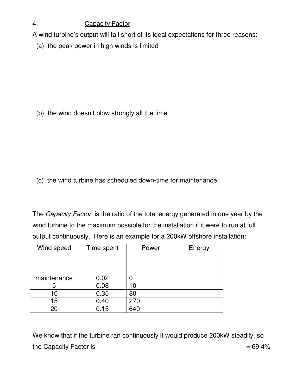# 4. Capacity Factor

A wind turbine's output will fall short of its ideal expectations for three reasons:

(a) the peak power in high winds is limited

(b) the wind doesn't blow strongly all the time

(c) the wind turbine has scheduled down-time for maintenance

The Capacity Factor is the ratio of the total energy generated in one year by the wind turbine to the maximum possible for the installation if it were to run at full output continuously. Here is an example for a 200kW offshore installation:

| Wind speed  | Time spent | Power | Energy |
|-------------|------------|-------|--------|
|             |            |       |        |
|             |            |       |        |
| maintenance | 0.02       |       |        |
| 5           | 0.08       | 10    |        |
| 10          | 0.35       | 80    |        |
| 15          | 0.40       | 270   |        |
| 20          | 0.15       | 640   |        |
|             |            |       |        |

We know that if the turbine ran continuously it would produce 200kW steadily, so the Capacity Factor is  $= 69.4\%$